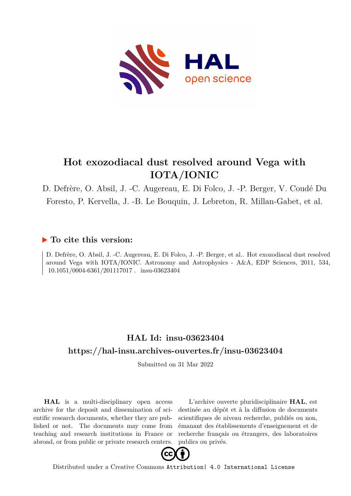

# **Hot exozodiacal dust resolved around Vega with IOTA/IONIC**

D. Defrère, O. Absil, J. -C. Augereau, E. Di Folco, J. -P. Berger, V. Coudé Du Foresto, P. Kervella, J. -B. Le Bouquin, J. Lebreton, R. Millan-Gabet, et al.

## **To cite this version:**

D. Defrère, O. Absil, J. -C. Augereau, E. Di Folco, J. -P. Berger, et al.. Hot exozodiacal dust resolved around Vega with IOTA/IONIC. Astronomy and Astrophysics - A&A, EDP Sciences, 2011, 534,  $10.1051/0004-6361/201117017$ . insu-03623404

## **HAL Id: insu-03623404 <https://hal-insu.archives-ouvertes.fr/insu-03623404>**

Submitted on 31 Mar 2022

**HAL** is a multi-disciplinary open access archive for the deposit and dissemination of scientific research documents, whether they are published or not. The documents may come from teaching and research institutions in France or abroad, or from public or private research centers.

L'archive ouverte pluridisciplinaire **HAL**, est destinée au dépôt et à la diffusion de documents scientifiques de niveau recherche, publiés ou non, émanant des établissements d'enseignement et de recherche français ou étrangers, des laboratoires publics ou privés.



Distributed under a Creative Commons [Attribution| 4.0 International License](http://creativecommons.org/licenses/by/4.0/)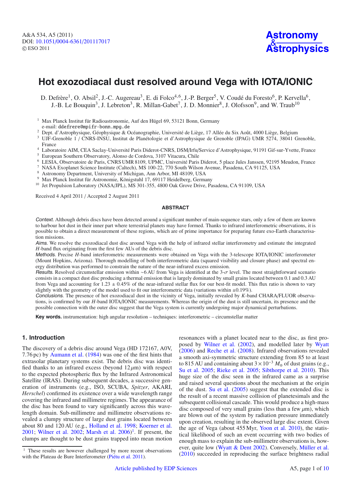## **Hot exozodiacal dust resolved around Vega with IOTA/IONIC**

D. Defrère<sup>1</sup>, O. Absil<sup>2</sup>, J.-C. Augereau<sup>3</sup>, E. di Folco<sup>4,6</sup>, J.-P. Berger<sup>5</sup>, V. Coudé du Foresto<sup>6</sup>, P. Kervella<sup>6</sup>, J.-B. Le Bouquin<sup>3</sup>, J. Lebreton<sup>3</sup>, R. Millan-Gabet<sup>7</sup>, J. D. Monnier<sup>8</sup>, J. Olofsson<sup>9</sup>, and W. Traub<sup>10</sup>

- <sup>2</sup> Dept. d'Astrophysique, Géophysique & Océanographie, Université de Liège, 17 Allée du Six Août, 4000 Liège, Belgium
- <sup>3</sup> UJF-Grenoble 1 / CNRS-INSU, Institut de Planétologie et d'Astrophysique de Grenoble (IPAG) UMR 5274, 38041 Grenoble, France
- <sup>4</sup> Laboratoire AIM, CEA Saclay-Université Paris Diderot-CNRS, DSM/Irfu/Service d'Astrophysique, 91191 Gif-sur-Yvette, France <sup>5</sup> European Southern Observatory, Alonso de Cordova, 3107 Vitacura, Chile
- 
- <sup>6</sup> LESIA, Observatoire de Paris, CNRS UMR 8109, UPMC, Université Paris Diderot, 5 place Jules Janssen, 92195 Meudon, France
- <sup>7</sup> NASA Exoplanet Science Institute (Caltech), MS 100-22, 770 South Wilson Avenue, Pasadena, CA 91125, USA
- <sup>8</sup> Astronomy Department, University of Michigan, Ann Arbor, MI 48109, USA
- <sup>9</sup> Max Planck Institut für Astronomie, Königstuhl 17, 69117 Heidelberg, Germany
- <sup>10</sup> Jet Propulsion Laboratory (NASA/JPL), MS 301-355, 4800 Oak Grove Drive, Pasadena, CA 91109, USA

Received 4 April 2011 / Accepted 2 August 2011

#### **ABSTRACT**

Context. Although debris discs have been detected around a significant number of main-sequence stars, only a few of them are known to harbour hot dust in their inner part where terrestrial planets may have formed. Thanks to infrared interferometric observations, it is possible to obtain a direct measurement of these regions, which are of prime importance for preparing future exo-Earth characterisation missions.

Aims. We resolve the exozodiacal dust disc around Vega with the help of infrared stellar interferometry and estimate the integrated *H*-band flux originating from the first few AUs of the debris disc.

Methods. Precise *H*-band interferometric measurements were obtained on Vega with the 3-telescope IOTA/IONIC interferometer (Mount Hopkins, Arizona). Thorough modelling of both interferometric data (squared visibility and closure phase) and spectral energy distribution was performed to constrain the nature of the near-infrared excess emission.

Results. Resolved circumstellar emission within ∼6 AU from Vega is identified at the 3-σ level. The most straightforward scenario consists in a compact dust disc producing a thermal emission that is largely dominated by small grains located between 0.1 and 0.3 AU from Vega and accounting for  $1.23 \pm 0.45\%$  of the near-infrared stellar flux for our best-fit model. This flux ratio is shown to vary slightly with the geometry of the model used to fit our interferometric data (variations within  $\pm 0.19\%$ ).

Conclusions. The presence of hot exozodiacal dust in the vicinity of Vega, initially revealed by *K*-band CHARA/FLUOR observations, is confirmed by our *H*-band IOTA/IONIC measurements. Whereas the origin of the dust is still uncertain, its presence and the possible connection with the outer disc suggest that the Vega system is currently undergoing major dynamical perturbations.

**Key words.** instrumentation: high angular resolution – techniques: interferometric – circumstellar matter

## **1. Introduction**

The discovery of a debris disc around Vega (HD 172167, A0V, 7.76 pc) by Aumann et al. (1984) was one of the first hints that extrasolar planetary systems exist. The debris disc was identified thanks to an infrared excess (beyond  $12 \mu m$ ) with respect to the expected photospheric flux by the Infrared Astronomical Satellite (IRAS). During subsequent decades, a successive generation of instruments (e.g., ISO, SCUBA, *Spitzer*, AKARI, *Herschel*) confirmed its existence over a wide wavelength range covering the infrared and millimetre regimes. The appearance of the disc has been found to vary significantly across this wavelength domain. Sub-millimetre and millimetre observations revealed a clumpy structure of large dust grains located between about 80 and 120 AU (e.g., Holland et al. 1998; Koerner et al. 2001; Wilner et al. 2002; Marsh et al.  $2006$ <sup>1</sup>. If present, the clumps are thought to be dust grains trapped into mean motion

resonances with a planet located near to the disc, as first proposed by Wilner et al. (2002), and modelled later by Wyatt (2006) and Reche et al. (2008). Infrared observations revealed a smooth axi-symmetric structure extending from 85 to at least to 815 AU and containing about  $3 \times 10^{-3}$   $M_{\oplus}$  of dust grains (e.g., Su et al. 2005; Rieke et al. 2005; Sibthorpe et al. 2010). This huge size of the disc seen in the infrared came as a surprise and raised several questions about the mechanism at the origin of the dust. Su et al. (2005) suggest that the extended disc is the result of a recent massive collision of planetesimals and the subsequent collisional cascade. This would produce a high-mass disc composed of very small grains (less than a few  $\mu$ m), which are blown out of the system by radiation pressure immediately upon creation, resulting in the observed large disc extent. Given the age of Vega (about 455 Myr, Yoon et al. 2010), the statistical likelihood of such an event occurring with two bodies of enough mass to explain the sub-millimetre observations is, however, quite low (Wyatt & Dent 2002). Conversely, Müller et al. (2010) succeeded in reproducing the surface brightness radial

<sup>&</sup>lt;sup>1</sup> Max Planck Institut für Radioastronomie, Auf den Hügel 69, 53121 Bonn, Germany e-mail: ddefrere@mpifr-bonn.mpg.de

<sup>&</sup>lt;sup>1</sup> These results are however challenged by more recent observations with the Plateau de Bure Interferometer (Piétu et al. 2011).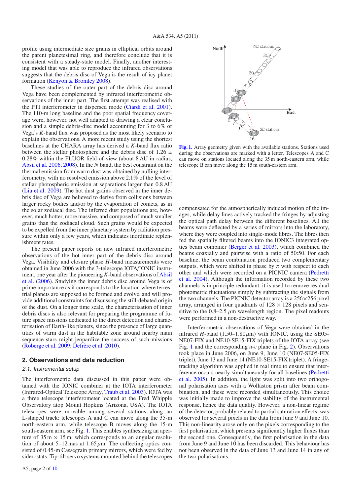profile using intermediate size grains in elliptical orbits around the parent planetesimal ring, and therefore conclude that it is consistent with a steady-state model. Finally, another interesting model that was able to reproduce the infrared observations suggests that the debris disc of Vega is the result of icy planet formation (Kenyon & Bromley 2008).

These studies of the outer part of the debris disc around Vega have been complemented by infrared interferometric observations of the inner part. The first attempt was realised with the PTI interferometer in dispersed mode (Ciardi et al. 2001). The 110-m long baseline and the poor spatial frequency coverage were, however, not well adapted to drawing a clear conclusion and a simple debris-disc model accounting for 3 to 6% of Vega's *K*-band flux was proposed as the most likely scenario to explain the observations. A more recent study using the shortest baselines at the CHARA array has derived a *K*-band flux ratio between the stellar photosphere and the debris disc of 1.26  $\pm$ 0.28% within the FLUOR field-of-view (about 8 AU in radius, Absil et al. 2006, 2008). In the *N* band, the best constraint on the thermal emission from warm dust was obtained by nulling interferometry, with no resolved emission above 2.1% of the level of stellar photospheric emission at separations larger than 0.8 AU (Liu et al. 2009). The hot dust grains observed in the inner debris disc of Vega are believed to derive from collisions between larger rocky bodies and/or by the evaporation of comets, as in the solar zodiacal disc. The inferred dust populations are, however, much hotter, more massive, and composed of much smaller grains than the zodiacal cloud. Such grains would be expected to be expelled from the inner planetary system by radiation pressure within only a few years, which indicates inordinate replenishment rates.

The present paper reports on new infrared interferometric observations of the hot inner part of the debris disc around Vega. Visibility and closure phase *H*-band measurements were obtained in June 2006 with the 3-telescope IOTA/IONIC instrument, one year after the pioneering *K*-band observations of Absil et al. (2006). Studying the inner debris disc around Vega is of prime importance as it corresponds to the location where terrestrial planets are supposed to be formed and evolve, and will provide additional constraints for discussing the still-debated origin of the dust. On a longer time scale, the characterisation of inner debris discs is also relevant for preparing the programme of future space missions dedicated to the direct detection and characterisation of Earth-like planets, since the presence of large quantities of warm dust in the habitable zone around nearby main sequence stars might jeopardize the success of such missions (Roberge et al. 2009; Defrère et al. 2010).

### **2. Observations and data reduction**

### 2.1. Instrumental setup

The interferometric data discussed in this paper were obtained with the IONIC combiner at the IOTA interferometer (Infrared-Optical Telescope Array, Traub et al. 2003). IOTA was a three telescope interferometer located at the Fred Whipple Observatory atop Mount Hopkins (Arizona, USA). The IOTA telescopes were movable among several stations along an L-shaped track: telescopes A and C can move along the 35-m north-eastern arm, while telescope B moves along the 15-m south-eastern arm, see Fig. 1. This enables synthesizing an aperture of  $35 \text{ m} \times 15 \text{ m}$ , which corresponds to an angular resolution of about 5–12 mas at  $1.65 \mu$ m. The collecting optics consisted of 0.45-m Cassegrain primary mirrors, which were fed by siderostats. Tip-tilt servo systems mounted behind the telescopes



**[Fig. 1.](http://dexter.edpsciences.org/applet.php?DOI=10.1051/0004-6361/201117017&pdf_id=1)** Array geometry given with the available stations. Stations used during the observations are marked with a letter. Telescopes A and C can move on stations located along the 35 m north-eastern arm, while telescope B can move along the 15 m south-eastern arm.

compensated for the atmospherically induced motion of the images, while delay lines actively tracked the fringes by adjusting the optical path delay between the different baselines. All the beams were deflected by a series of mirrors into the laboratory, where they were coupled into single-mode fibres. The fibres then fed the spatially filtered beams into the IONIC3 integrated optics beam combiner (Berger et al. 2003), which combined the beams coaxially and pairwise with a ratio of 50:50. For each baseline, the beam combination produced two complementary outputs, which were shifted in phase by  $\pi$  with respect to each other and which were recorded on a PICNIC camera (Pedretti et al. 2004). Although the information recorded by these two channels is in principle redundant, it is used to remove residual photometric fluctuations simply by subtracting the signals from the two channels. The PICNIC detector array is a  $256 \times 256$  pixel array, arranged in four quadrants of  $128 \times 128$  pixels and sensitive to the  $0.8-2.5 \mu m$  wavelength region. The pixel readouts were performed in a non-destructive way.

Interferometric observations of Vega were obtained in the infrared *H*-band (1.50–1.80 $\mu$ m) with IONIC, using the SE05-NE07-FIX and NE10-SE15-FIX triplets of the IOTA array (see Fig. 1 and the corresponding *u*-v plane in Fig. 2). Observations took place in June 2006, on June 9, June 10 (NE07-SE05-FIX triplet), June 13 and June 14 (NE10-SE15-FIX triplet). A fringetracking algorithm was applied in real time to ensure that interference occurs nearly simultaneously for all baselines (Pedretti et al. 2005). In addition, the light was split into two orthogonal polarisation axes with a Wollaston prism after beam combination, and these were recorded simultaneously. This choice was initially made to improve the stability of the instrumental response, hence the data quality. However, a non-linear regime of the detector, probably related to partial saturation effects, was observed for several pixels in the data from June 9 and June 10. This non-linearity arose only on the pixels corresponding to the first polarisation, which presents significantly higher fluxes than the second one. Consequently, the first polarisation in the data from June 9 and June 10 has been discarded. This behaviour has not been observed in the data of June 13 and June 14 in any of the two polarisations.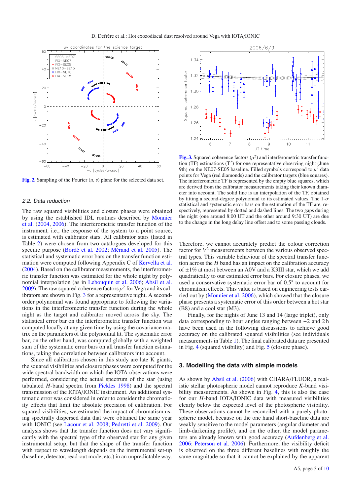

**[Fig. 2.](http://dexter.edpsciences.org/applet.php?DOI=10.1051/0004-6361/201117017&pdf_id=2)** Sampling of the Fourier (*u*, v) plane for the selected data set.

#### 2.2. Data reduction

The raw squared visibilities and closure phases were obtained by using the established IDL routines described by Monnier et al. (2004, 2006). The interferometric transfer function of the instrument, i.e., the response of the system to a point source, is estimated with calibrator stars. All calibrator stars (listed in Table 2) were chosen from two catalogues developed for this specific purpose (Bordé et al. 2002; Mérand et al. 2005). The statistical and systematic error bars on the transfer function estimation were computed following Appendix C of Kervella et al. (2004). Based on the calibrator measurements, the interferometric transfer function was estimated for the whole night by polynomial interpolation (as in Lebouquin et al. 2006; Absil et al. 2009). The raw squared coherence factors  $\mu^2$  for Vega and its calibrators are shown in Fig. 3 for a representative night. A secondorder polynomial was found appropriate to following the variations in the interferometric transfer function during the whole night as the target and calibrator moved across the sky. The statistical error bar on the interferometric transfer function was computed locally at any given time by using the covariance matrix on the parameters of the polynomial fit. The systematic error bar, on the other hand, was computed globally with a weighted sum of the systematic error bars on all transfer function estimations, taking the correlation between calibrators into account.

Since all calibrators chosen in this study are late K giants, the squared visibilities and closure phases were computed for the wide spectral bandwidth on which the IOTA observations were performed, considering the actual spectrum of the star (using tabulated *H*-band spectra from Pickles 1998) and the spectral transmission of the IOTA/IONIC instrument. An additional systematic error was considered in order to consider the chromaticity effects that limit the absolute precision of calibration. For squared visibilities, we estimated the impact of chromatism using spectrally dispersed data that were obtained the same year with IONIC (see Lacour et al. 2008; Pedretti et al. 2009). Our analysis shows that the transfer function does not vary significantly with the spectral type of the observed star for any given instrumental setup, but that the shape of the transfer function with respect to wavelength depends on the instrumental set-up (baseline, detector, read-out mode, etc.) in an unpredictable way.



**[Fig. 3.](http://dexter.edpsciences.org/applet.php?DOI=10.1051/0004-6361/201117017&pdf_id=3)** Squared coherence factors  $(\mu^2)$  and interferometric transfer function  $(TF)$  estimations  $(T^2)$  for one representative observing night (June 9th) on the NE07-SE05 baseline. Filled symbols correspond to  $\mu^2$  data points for Vega (red diamonds) and the calibrator targets (blue squares). The interferometric TF is represented by the empty blue squares, which are derived from the calibrator measurements taking their known diameter into account. The solid line is an interpolation of the TF, obtained by fitting a second-degree polynomial to its estimated values. The  $1-\sigma$ statistical and systematic error bars on the estimation of the TF are, respectively, represented by dotted and dashed lines. The two gaps during the night (one around 8:00 UT and the other around 9:30 UT) are due to the change in the long delay line offset and to some passing clouds.

Therefore, we cannot accurately predict the colour correction factor for  $V^2$  measurements between the various observed spectral types. This variable behaviour of the spectral transfer function across the *H* band has an impact on the calibration accuracy of  $\pm 1\%$  at most between an A0V and a K3III star, which we add quadratically to our estimated error bars. For closure phases, we used a conservative systematic error bar of 0.5◦ to account for chromatism effects. This value is based on engineering tests carried out by (Monnier et al. 2006), which showed that the closure phase presents a systematic error of this order between a hot star (B8) and a cool star (M3).

Finally, for the nights of June 13 and 14 (large triplet), only data corresponding to hour angles ranging between −2 and 2 h have been used in the following discussions to achieve good accuracy on the calibrated squared visibilities (see individuals measurements in Table 1). The final calibrated data are presented in Fig. 4 (squared visibility) and Fig. 5 (closure phase).

### **3. Modelling the data with simple models**

As shown by Absil et al. (2006) with CHARA/FLUOR, a realistic stellar photospheric model cannot reproduce *K*-band visibility measurements. As shown in Fig. 4, this is also the case for our *H*-band IOTA/IONIC data with measured visibilities clearly below the expected level of the photospheric visibility. These observations cannot be reconciled with a purely photospheric model, because on the one hand short-baseline data are weakly sensitive to the model parameters (angular diameter and limb-darkening profile), and on the other, the model parameters are already known with good accuracy (Aufdenberg et al. 2006; Peterson et al. 2006). Furthermore, the visibility deficit is observed on the three different baselines with roughly the same magnitude so that it cannot be explained by the apparent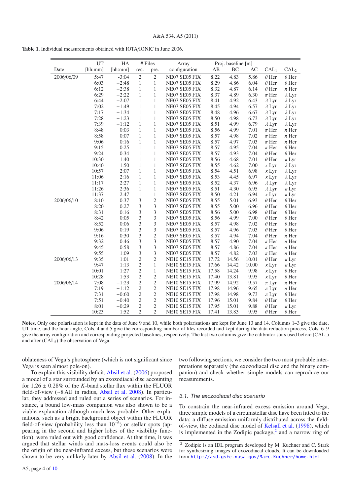|            | UT      | HA      |                | # Files        | Array         |       | Proj. baseline [m] |       |                  |                  |
|------------|---------|---------|----------------|----------------|---------------|-------|--------------------|-------|------------------|------------------|
| Date       | [hh:mm] | [hh:mm] | rec.           | pre.           | configuration | AB    | ВC                 | AС    | CAL <sub>1</sub> | CAL <sub>2</sub> |
| 2006/06/09 | 5:47    | $-3:04$ | $\overline{2}$ | $\overline{c}$ | NE07 SE05 FIX | 8.22  | 4.83               | 5.86  | $\theta$ Her     | $\theta$ Her     |
|            | 6:03    | $-2:48$ | $\mathbf{1}$   | $\mathbf{1}$   | NE07 SE05 FIX | 8.29  | 4.86               | 6.04  | $\theta$ Her     | $\theta$ Her     |
|            | 6:12    | $-2:38$ | $\mathbf{1}$   | $\mathbf{1}$   | NE07 SE05 FIX | 8.32  | 4.87               | 6.14  | $\theta$ Her     | $\pi$ Her        |
|            | 6:29    | $-2:22$ | $\mathbf{1}$   | $\mathbf{1}$   | NE07 SE05 FIX | 8.37  | 4.89               | 6.30  | $\pi$ Her        | $\lambda$ Lyr    |
|            | 6:44    | $-2:07$ | $\mathbf{1}$   | $\mathbf{1}$   | NE07 SE05 FIX | 8.41  | 4.92               | 6.43  | $\lambda$ Lyr    | $\lambda$ Lyr    |
|            | 7:02    | $-1:49$ | $\mathbf{1}$   | $\mathbf{1}$   | NE07 SE05 FIX | 8.45  | 4.94               | 6.57  | $\lambda$ Lyr    | $\lambda$ Lyr    |
|            | 7:17    | $-1:34$ | 1              | $\mathbf{1}$   | NE07 SE05 FIX | 8.48  | 4.96               | 6.67  | $\lambda$ Lyr    | $\lambda$ Lyr    |
|            | 7:28    | $-1:23$ | 1              | 1              | NE07 SE05 FIX | 8.50  | 4.98               | 6.73  | $\lambda$ Lyr    | $\lambda$ Lyr    |
|            | 7:39    | $-1:12$ | $\mathbf{1}$   | $\mathbf{1}$   | NE07 SE05 FIX | 8.51  | 4.99               | 6.79  | $\lambda$ Lyr    | $\lambda$ Lyr    |
|            | 8:48    | 0:03    | 1              | $\mathbf{1}$   | NE07 SE05 FIX | 8.56  | 4.99               | 7.01  | $\pi$ Her        | $\pi$ Her        |
|            | 8:58    | 0:07    | 1              | $\mathbf{1}$   | NE07 SE05 FIX | 8.57  | 4.98               | 7.02  | $\pi$ Her        | $\pi$ Her        |
|            | 9:06    | 0:16    | $\mathbf{1}$   | $\mathbf{1}$   | NE07 SE05 FIX | 8.57  | 4.97               | 7.03  | $\pi$ Her        | $\pi$ Her        |
|            | 9:15    | 0:25    | $\mathbf{1}$   | $\mathbf{1}$   | NE07 SE05 FIX | 8.57  | 4.95               | 7.04  | $\pi$ Her        | $\theta$ Her     |
|            | 9:24    | 0:34    | $\mathbf{1}$   | $\mathbf{1}$   | NE07 SE05 FIX | 8.57  | 4.93               | 7.04  | $\theta$ Her     | $\theta$ Her     |
|            | 10:30   | 1:40    | $\mathbf{1}$   | $\mathbf{1}$   | NE07 SE05 FIX | 8.56  | 4.68               | 7.01  | $\theta$ Her     | $\kappa$ Lyr     |
|            | 10:40   | 1:50    | $\mathbf{1}$   | $\mathbf{1}$   | NE07 SE05 FIX | 8.55  | 4.62               | 7.00  | $\kappa$ Lyr     | $\lambda$ Lyr    |
|            | 10:57   | 2:07    | 1              | $\mathbf{1}$   | NE07 SE05 FIX | 8.54  | 4.51               | 6.98  | $\kappa$ Lyr     | $\lambda$ Lyr    |
|            | 11:06   | 2:16    | 1              | $\mathbf{1}$   | NE07 SE05 FIX | 8.53  | 4.45               | 6.97  | $\kappa$ Lyr     | $\lambda$ Lyr    |
|            | 11:17   | 2:27    | $\mathbf{1}$   | $\mathbf{1}$   | NE07 SE05 FIX | 8.52  | 4.37               | 6.96  | $\lambda$ Lyr    | $\lambda$ Lyr    |
|            | 11:26   | 2:36    | $\mathbf{1}$   | $\mathbf{1}$   | NE07 SE05 FIX | 8.51  | 4.30               | 6.95  | $\lambda$ Lyr    | $\kappa$ Lyr     |
|            | 11:37   | 2:47    | $\mathbf{1}$   | 1              | NE07 SE05 FIX | 8.50  | 4.21               | 6.94  | $\kappa$ Lyr     | $\kappa$ Lyr     |
| 2006/06/10 | 8:10    | 0:37    | 3              | $\overline{c}$ | NE07 SE05 FIX | 8.55  | 5.01               | 6.93  | $\theta$ Her     | $\theta$ Her     |
|            | 8:20    | 0:27    | $\mathfrak{Z}$ | 3              | NE07 SE05 FIX | 8.55  | 5.00               | 6.96  | $\theta$ Her     | $\theta$ Her     |
|            | 8:31    | 0:16    | 3              | 3              | NE07 SE05 FIX | 8.56  | 5.00               | 6.98  | $\theta$ Her     | $\theta$ Her     |
|            | 8:42    | 0:05    | 3              | 3              | NE07 SE05 FIX | 8.56  | 4.99               | 7.00  | $\theta$ Her     | $\theta$ Her     |
|            | 8:52    | 0:06    | 3              | 3              | NE07 SE05 FIX | 8.57  | 4.98               | 7.02  | $\theta$ Her     | $\theta$ Her     |
|            | 9:06    | 0:19    | 3              | 3              | NE07 SE05 FIX | 8.57  | 4.96               | 7.03  | $\theta$ Her     | $\theta$ Her     |
|            | 9:16    | 0:30    | 3              | $\overline{c}$ | NE07 SE05 FIX | 8.57  | 4.94               | 7.04  | $\theta$ Her     | $\pi$ Her        |
|            | 9:32    | 0:46    | $\mathfrak{Z}$ | 3              | NE07 SE05 FIX | 8.57  | 4.90               | 7.04  | $\pi$ Her        | $\pi$ Her        |
|            | 9:45    | 0:58    | 3              | 3              | NE07 SE05 FIX | 8.57  | 4.86               | 7.04  | $\pi$ Her        | $\pi$ Her        |
|            | 9:55    | 1:09    | 3              | 3              | NE07 SE05 FIX | 8.57  | 4.82               | 7.03  | $\pi$ Her        | $\pi$ Her        |
| 2006/06/13 | 9:35    | 1:01    | $\overline{c}$ | $\overline{c}$ | NE10 SE15 FIX | 17.72 | 14.56              | 10.01 | $\theta$ Her     | $\kappa$ Lyr     |
|            | 9:47    | 1:13    | $\mathfrak{2}$ | $\mathbf{1}$   | NE10 SE15 FIX | 17.66 | 14.42              | 10.00 | $\kappa$ Lyr     | $\kappa$ Lyr     |
|            | 10:01   | 1:27    | $\overline{2}$ | $\mathbf{1}$   | NE10 SE15 FIX | 17.58 | 14.24              | 9.98  | $\kappa$ Lyr     | $\theta$ Her     |
|            | 10:28   | 1:53    | $\mathfrak{2}$ | $\overline{c}$ | NE10 SE15 FIX | 17.40 | 13.81              | 9.95  | $\kappa$ Lyr     | $\theta$ Her     |
| 2006/06/14 | 7:08    | $-1:23$ | $\overline{2}$ | $\overline{2}$ | NE10 SE15 FIX | 17.99 | 14.92              | 9.57  | $\pi$ Lyr        | $\pi$ Her        |
|            | 7:19    | $-1:12$ | $\overline{2}$ | $\overline{c}$ | NE10 SE15 FIX | 17.98 | 14.96              | 9.65  | $\pi$ Lyr        | $\pi$ Her        |
|            | 7:31    | $-0:60$ | $\mathfrak{2}$ | $\overline{c}$ | NE10 SE15 FIX | 17.98 | 14.98              | 9.73  | $\pi$ Lyr        | $\theta$ Her     |
|            | 7:51    | $-0:40$ | $\sqrt{2}$     | $\overline{c}$ | NE10 SE15 FIX | 17.96 | 15.01              | 9.84  | $\theta$ Her     | $\theta$ Her     |
|            | 8:01    | $-0:29$ | $\mathfrak{2}$ | $\overline{c}$ | NE10 SE15 FIX | 17.95 | 15.01              | 9.88  | $\theta$ Her     | $\kappa$ Lyr     |
|            | 10:23   | 1:52    | $\overline{2}$ | $\overline{2}$ | NE10 SE15 FIX | 17.41 | 13.83              | 9.95  | $\theta$ Her     | $\theta$ Her     |

**Table 1.** Individual measurements obtained with IOTA/IONIC in June 2006.

Notes. Only one polarisation is kept in the data of June 9 and 10, while both polarisations are kept for June 13 and 14. Columns 1–3 give the date, UT time, and the hour angle, Cols. 4 and 5 give the corresponding number of files recorded and kept during the data reduction process, Cols. 6–9 give the array configuration and corresponding projected baselines, respectively. The last two columns give the calibrator stars used before (CAL1) and after  $(CAL<sub>2</sub>)$  the observation of Vega.

oblateness of Vega's photosphere (which is not significant since Vega is seen almost pole-on).

To explain this visibility deficit, Absil et al. (2006) proposed a model of a star surrounded by an exozodiacal disc accounting for  $1.26 \pm 0.28\%$  of the *K*-band stellar flux within the FLUOR field-of-view (∼8 AU in radius, Absil et al. 2008). In particular, they addressed and ruled out a series of scenarios. For instance, a bound low-mass companion was also shown to be a viable explanation although much less probable. Other explanations, such as a bright background object within the FLUOR field-of-view (probability less than  $10^{-6}$ ) or stellar spots (appearing in the second and higher lobes of the visibility function), were ruled out with good confidence. At that time, it was argued that stellar winds and mass-loss events could also be the origin of the near-infrared excess, but these scenarios were shown to be very unlikely later by Absil et al. (2008). In the two following sections, we consider the two most probable interpretations separately (the exozodiacal disc and the binary companion) and check whether simple models can reproduce our measurements.

#### 3.1. The exozodiacal disc scenario

To constrain the near-infrared excess emission around Vega, three simple models of a circumstellar disc have been fitted to the data: a diffuse emission uniformly distributed across the fieldof-view, the zodiacal disc model of Kelsall et al. (1998), which is implemented in the Zodipic package, $<sup>2</sup>$  and a narrow ring of</sup>

<sup>2</sup> Zodipic is an IDL program developed by M. Kuchner and C. Stark for synthesizing images of exozodiacal clouds. It can be downloaded from <http://asd.gsfc.nasa.gov/Marc.Kuchner/home.html>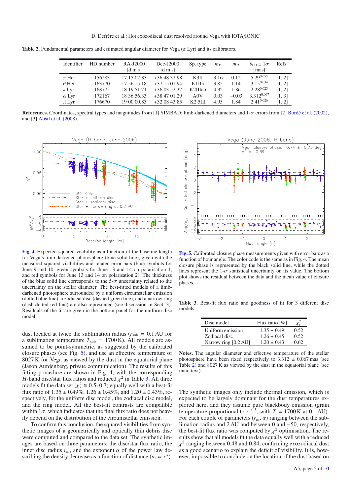**Table 2.** Fundamental parameters and estimated angular diameter for Vega  $(\alpha Lyr)$  and its calibrators.

| Identifier    | HD number | RA-J2000<br>$\lceil d \bmod n \rceil$ | $Dec-I2000$<br>$\lceil d \bmod n \rceil$ | Sp. type | $m_V$ | $m_H$   | $\theta_{\text{ID}} \pm 1\sigma$<br>[mas] | Refs.  |
|---------------|-----------|---------------------------------------|------------------------------------------|----------|-------|---------|-------------------------------------------|--------|
| $\pi$ Her     | 156283    | 17 15 02.83                           | $+364832.98$                             | K3II     | 3.16  | 0.12    | $5.29^{0.055}$                            | [1, 2] |
| $\theta$ Her  | 163770    | 17 56 15 18                           | $+371501.94$                             | K1IIa    | 3.85  | 1.14    | $3.15^{0.034}$                            | [1, 2] |
| $\kappa$ Lyr  | 168775    | 18 19 51.71                           | $+360352.37$                             | K2IIIab  | 4.32  | 1.86    | $2.28^{0.025}$                            | [1, 2] |
| $\alpha$ Lyr  | 172167    | 18 36 56.33                           | $+384701.29$                             | A0V      | 0.03  | $-0.03$ | 3.3120.067                                | [1, 3] |
| $\lambda$ Lyr | 176670    | 19 00 00.83                           | $+320843.85$                             | K2.5III  | 4.95  | 1.84    | $2.41^{0.026}$                            | [1, 2] |

**References.** Coordinates, spectral types and magnitudes from [1] SIMBAD; limb-darkened diameters and 1-σ errors from [2] Bordé et al. (2002), and [3] Absil et al. (2008).



**[Fig. 4.](http://dexter.edpsciences.org/applet.php?DOI=10.1051/0004-6361/201117017&pdf_id=4)** Expected squared visibility as a function of the baseline length for Vega's limb darkened photosphere (blue solid line), given with the measured squared visibilities and related error bars (blue symbols for June 9 and 10, green symbols for June 13 and 14 on polarisation 1, and red symbols for June 13 and 14 on polarisation 2). The thickness of the blue solid line corresponds to the  $5-\sigma$  uncertainty related to the uncertainty on the stellar diameter. The best-fitted models of a limbdarkened photosphere surrounded by a uniform circumstellar emission (dotted blue line), a zodiacal disc (dashed green line), and a narrow ring (dash-dotted red line) are also represented (see discussion in Sect. 3). Residuals of the fit are given in the bottom panel for the uniform disc model.

dust located at twice the sublimation radius ( $r_{sub} = 0.1$  AU for a sublimation temperature  $T_{sub} = 1700 \text{ K}$ ). All models are assumed to be point-symmetric, as suggested by the calibrated closure phases (see Fig. 5), and use an effective temperature of 8027 K for Vega as viewed by the dust in the equatorial plane (Jason Aufdenberg, private communication). The results of this fitting procedure are shown in Fig. 4, with the corresponding *H*-band disc/star flux ratios and reduced  $\chi^2$  in Table 3. All three models fit the data set ( $\chi^2_r \approx 0.5{\text -}0.7$ ) equally well with a best-fit flux ratio of  $1.35 \pm 0.49\%$ ,  $1.26 \pm 0.45\%$ , and  $1.20 \pm 0.43\%$ , respectively, for the uniform disc model, the zodiacal disc model, and the ring model. All the best-fit contrasts are compatible within  $1\sigma$ , which indicates that the final flux ratio does not heavily depend on the distribution of the circumstellar emission.

To confirm this conclusion, the squared visibilities from synthetic images of a geometrically and optically thin debris disc were computed and compared to the data set. The synthetic images are based on three parameters: the disc/star flux ratio, the inner disc radius  $r_{\text{in}}$ , and the exponent  $\alpha$  of the power law describing the density decrease as a function of distance  $(n_r \propto r^{\alpha})$ .



**[Fig. 5.](http://dexter.edpsciences.org/applet.php?DOI=10.1051/0004-6361/201117017&pdf_id=5)** Calibrated closure phase measurements given with error bars as a function of hour angle. The color code is the same as in Fig. 4. The mean closure phase is represented by the black solid line, while the dotted lines represent the 1- $\sigma$  statistical uncertainty on its value. The bottom plot shows the residual between the data and the mean value of closure phases.

**Table 3.** Best-fit flux ratio and goodness of fit for 3 different disc models.

| Disc model           | Flux ratio $\lceil\% \rceil$ |      |
|----------------------|------------------------------|------|
| Uniform emission     | $1.35 \pm 0.49$              | 0.52 |
| Zodiacal disc        | $1.26 \pm 0.45$              | 0.52 |
| Narrow ring [0.2 AU] | $1.20 + 0.43$                | 0.62 |

**Notes.** The angular diameter and effective temperature of the stellar photosphere have been fixed respectively to  $3.312 \pm 0.067$  mas (see Table 2) and 8027 K as viewed by the dust in the equatorial plane (see main text).

The synthetic images only include thermal emission, which is expected to be largely dominant for the dust temperatures explored here, and they assume pure blackbody emission (grain temperature proportional to  $r^{-0.5}$ , with  $T = 1700$  K at 0.1 AU). For each couple of parameters  $(r_{\text{in}}, \alpha)$  ranging between the sublimation radius and 2 AU and between 0 and −50, respectively, the best-fit flux ratio was computed by  $\chi^2$  optimisation. The results show that all models fit the data equally well with a reduced  $\chi^2$  ranging between 0.48 and 0.84, confirming exozodiacal dust as a good scenario to explain the deficit of visibility. It is, however, impossible to conclude on the location of the dust based on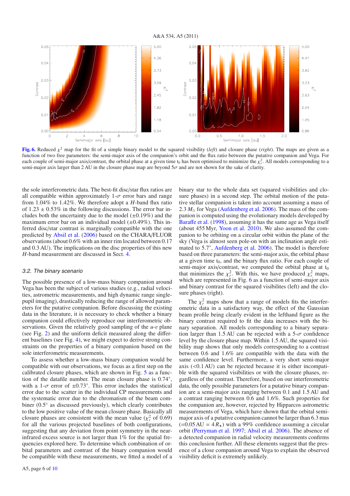

**[Fig. 6.](http://dexter.edpsciences.org/applet.php?DOI=10.1051/0004-6361/201117017&pdf_id=6)** Reduced  $\chi^2$  map for the fit of a simple binary model to the squared visibility (*left*) and closure phase (*right*). The maps are given as a function of two free parameters: the semi-major axis of the companion's orbit and the flux ratio between the putative companion and Vega. For each couple of semi-major axis/contrast, the orbital phase at a given time  $t_0$  has been optimised to minimize the  $\chi^2$ . All models corresponding to a semi-major axis larger than 2 AU in the closure phase map are beyond  $5\sigma$  and are not shown for the sake of clarity.

the sole interferometric data. The best-fit disc/star flux ratios are all compatible within approximately  $1-\sigma$  error bars and range from 1.04% to 1.42%. We therefore adopt a *H*-band flux ratio of  $1.23 \pm 0.53\%$  in the following discussions. The error bar includes both the uncertainty due to the model  $(\pm 0.19\%)$  and the maximum error bar on an individual model  $(\pm 0.49\%)$ . This inferred disc/star contrast is marginally compatible with the one predicted by Absil et al. (2006) based on the CHARA/FLUOR observations (about 0.6% with an inner rim located between 0.17 and 0.3 AU). The implications on the disc properties of this new *H*-band measurement are discussed in Sect. 4.

#### 3.2. The binary scenario

The possible presence of a low-mass binary companion around Vega has been the subject of various studies (e.g., radial velocities, astrometric measurements, and high dynamic range singlepupil imaging), drastically reducing the range of allowed parameters for the putative companion. Before discussing the existing data in the literature, it is necessary to check whether a binary companion could effectively reproduce our interferometric observations. Given the relatively good sampling of the *u*-v plane (see Fig. 2) and the uniform deficit measured along the different baselines (see Fig. 4), we might expect to derive strong constraints on the properties of a binary companion based on the sole interferometric measurements.

To assess whether a low-mass binary companion would be compatible with our observations, we focus as a first step on the calibrated closure phases, which are shown in Fig. 5 as a function of the datafile number. The mean closure phase is 0.74◦, with a 1- $\sigma$  error of  $\pm 0.73^{\circ}$ . This error includes the statistical error due to the scatter in the individual CP measurements and the systematic error due to the chromatism of the beam combiner (0.5◦ as discussed previously), which clearly contributes to the low positive value of the mean closure phase. Basically all closure phases are consistent with the mean value  $(\chi^2_r$  of 0.69) for all the various projected baselines of both configurations, suggesting that any deviation from point symmetry in the nearinfrared excess source is not larger than 1% for the spatial frequencies explored here. To determine which combination of orbital parameters and contrast of the binary companion would be compatible with these measurements, we fitted a model of a binary star to the whole data set (squared visibilities and closure phases) in a second step. The orbital motion of the putative stellar companion is taken into account assuming a mass of 2.3  $M_{\odot}$  for Vega (Aufdenberg et al. 2006). The mass of the companion is computed using the evolutionary models developed by Baraffe et al. (1998), assuming it has the same age as Vega itself (about 455 Myr, Yoon et al. 2010). We also assumed the companion to be orbiting on a circular orbit within the plane of the sky (Vega is almost seen pole-on with an inclination angle estimated to 5.7◦, Aufdenberg et al. 2006). The model is therefore based on three parameters: the semi-major axis, the orbital phase at a given time  $t_0$ , and the binary flux ratio. For each couple of semi-major axis/contrast, we computed the orbital phase at  $t_0$ that minimizes the  $\chi^2_r$ . With this, we have produced  $\chi^2_r$  maps, which are represented in Fig. 6 as a function of semi-major axis and binary contrast for the squared visibilites (left) and the closure phases (right).

The  $\chi^2$  maps show that a range of models fits the interferometric data in a satisfactory way, the effect of the Gaussian beam profile being clearly evident in the lefthand figure as the binary contrast required to fit the data increases with the binary separation. All models corresponding to a binary separation larger than 1.5 AU can be rejected with a 5- $\sigma$  confidence level by the closure phase map. Within 1.5 AU, the squared visibility map shows that only models corresponding to a contrast between 0.6 and 1.6% are compatible with the data with the same confidence level. Furthermore, a very short semi-major axis (<0.1 AU) can be rejected because it is either incompatible with the squared visibilities or with the closure phases, regardless of the contrast. Therefore, based on our interferometric data, the only possible parameters for a putative binary companion are a semi-major axis ranging between 0.1 and 1.5 AU and a contrast ranging between 0.6 and 1.6%. Such properties for the companion are, however, rejected by Hipparcos astrometric measurements of Vega, which have shown that the orbital semimajor axis of a putative companion cannot be larger than 6.3 mas  $(=0.05 \text{ AU} = 4 R_{\star})$  with a 99% confidence assuming a circular orbit (Perryman et al. 1997; Absil et al. 2006). The absence of a detected companion in radial velocity measurements confirms this conclusion further. All these elements suggest that the presence of a close companion around Vega to explain the observed visibility deficit is extremely unlikely.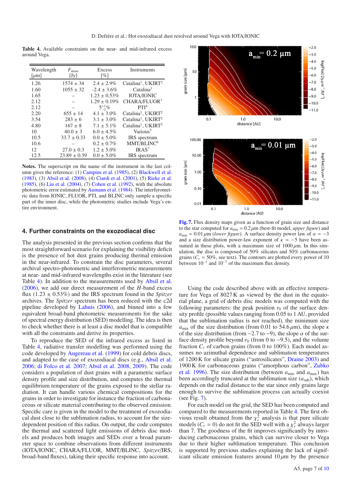**Table 4.** Available constraints on the near- and mid-infrared excess around Vega.

| Wavelength<br>$\lceil \mu m \rceil$ | $F_{\text{meas}}$<br>[Jy] | Excess<br>[%]     | <b>Instruments</b>                         |
|-------------------------------------|---------------------------|-------------------|--------------------------------------------|
| 1.26                                | $1574 \pm 34$             | $2.4 \pm 2.9\%$   | Catalina <sup>1</sup> , UKIRT <sup>2</sup> |
| 1.60                                | $1055 \pm 32$             | $-2.4 \pm 3.6\%$  | $\mathrm{Catalina}^1$                      |
| 1.65                                |                           | $1.23 \pm 0.53\%$ | <b>IOTA/IONIC</b>                          |
| 2.12                                |                           | $1.29 \pm 0.19\%$ | CHARA/FLUOR <sup>3</sup>                   |
| 2.12                                |                           | $5^{+1}_{-2}\%$   | PTI <sup>4</sup>                           |
| 2.20                                | $655 \pm 14$              | $4.1 \pm 3.0\%$   | Catalina <sup>1</sup> , UKIRT <sup>2</sup> |
| 3.54                                | $283 \pm 6$               | $3.1 \pm 3.0\%$   | Catalina <sup>1</sup> , UKIRT <sup>2</sup> |
| 4.80                                | $167 \pm 8$               | $7.1 \pm 5.1\%$   | Catalina <sup>1</sup> , UKIRT <sup>2</sup> |
| 10                                  | $40.0 \pm 3$              | $6.0 \pm 4.5\%$   | Various <sup>5</sup>                       |
| 10.5                                | $33.7 \pm 0.33$           | $0.0 \pm 5.0\%$   | <b>IRS</b> spectrum                        |
| 10.6                                |                           | $0.2 \pm 0.7\%$   | MMT/BLINC <sup>6</sup>                     |
| 12                                  | $27.0 \pm 0.3$            | $1.2 \pm 5.0\%$   | IRAS <sup>7</sup>                          |
| 12.5                                | $23.89 \pm 0.39$          | $0.0 \pm 5.0\%$   | <b>IRS</b> spectrum                        |

**Notes.** The superscript on the name of the instrument in the last column gives the reference: (1) Campins et al. (1985), (2) Blackwell et al. (1983), (3) Absil et al. (2008), (4) Ciardi et al. (2001), (5) Rieke et al. (1985), (6) Liu et al. (2004), (7) Cohen et al. (1992), with the absolute photometric error estimated by Aumann et al. (1984). The interferometric data from IONIC, FLUOR, PTI, and BLINC only sample a specific part of the inner disc, while the photometric studies include Vega's entire environment.

#### **4. Further constraints on the exozodiacal disc**

The analysis presented in the previous section confirms that the most straightforward scenario for explaining the visibility deficit is the presence of hot dust grains producing thermal emission in the near-infrared. To constrain the disc parameters, several archival spectro-photometric and interferometric measurements at near- and mid-infrared wavelengths exist in the literature (see Table 4). In addition to the measurements used by Absil et al. (2006), we add our direct measurement of the *H*-band excess flux (1.23 ± 0.53%) and the IRS spectrum found in the *Spitzer* archives. The *Spitzer* spectrum has been reduced with the c2d pipeline developed by Lahuis (2006), and binned into a few equivalent broad-band photometric measurements for the sake of spectral energy distribution (SED) modelling. The idea is then to check whether there is at least a disc model that is compatible with all the constraints and derive its properties.

To reproduce the SED of the infrared excess as listed in Table 4, radiative transfer modelling was performed using the code developed by Augereau et al. (1999) for cold debris discs, and adapted to the case of exozodiacal discs (e.g., Absil et al. 2006; di Folco et al. 2007; Absil et al. 2008, 2009). The code considers a population of dust grains with a parametric surface density profile and size distribution, and computes the thermal equilibrium temperature of the grains exposed to the stellar radiation. It can handle various chemical compositions for the grains in order to investigate for instance the fraction of carbonaceous or silicate material contributing to the observed emission. Specific care is given in the model to the treatment of exozodiacal dust close to the sublimation radius, to account for the sizedependent position of this radius. On output, the code computes the thermal and scattered light emissions of debris disc models and produces both images and SEDs over a broad parameter space to combine observations from different instruments (IOTA/IONIC, CHARA/FLUOR, MMT/BLINC, *Spitzer*/IRS, broad-band fluxes), taking their specific response into account.



**[Fig. 7.](http://dexter.edpsciences.org/applet.php?DOI=10.1051/0004-6361/201117017&pdf_id=7)** Flux density maps given as a function of grain size and distance to the star computed for  $a_{\text{min}} = 0.2 \mu$ m (best-fit model, *upper figure*) and  $a_{\text{min}} = 0.01 \,\mu\text{m}$  (*lower figure*). A surface density power law of  $\alpha = -3$ and a size distribution power-law exponent of  $\kappa = -5$  have been assumed in these plots, with a maximum size of  $1000 \mu$ m. In this simulation, the disc is composed of 50% silicates and 50% carbonaceous grains  $(C_r = 50\%$ , see text). The contours are plotted every power of 10 between 10−<sup>1</sup> and 10−<sup>7</sup> of the maximum flux density.

Using the code described above with an effective temperature for Vega of 8027 K as viewed by the dust in the equatorial plane, a grid of debris disc models was computed with the following parameters: the peak position  $r_0$  of the surface density profile (possible values ranging from 0.05 to 1 AU, provided that the sublimation radius is not reached), the minimum size  $a_{\text{min}}$  of the size distribution (from 0.01 to 54.6  $\mu$ m), the slope  $\kappa$ of the size distribution (from  $-2.7$  to  $-9$ ), the slope  $\alpha$  of the surface density profile beyond  $r_0$  (from 0 to  $-9.5$ ), and the volume fraction  $C_r$  of carbon grains (from 0 to 100%). Each model assumes no azimuthal dependence and sublimation temperatures of 1200 K for silicate grains ("astrosilicates", Draine 2003) and 1900 K for carbonaceous grains ("amorphous carbon", Zubko et al. 1996). The size distribution (between  $a_{\text{min}}$  and  $a_{\text{max}}$ ) has been accordingly truncated at the sublimation size  $(a_{sub})$ , which depends on the radial distance to the star since only grains large enough to survive the sublimation process can actually coexist (see Fig. 7).

For each model on the grid, the SED has been computed and compared to the measurements reported in Table 4. The first obvious result obtained from the  $\chi^2$  analysis is that pure silicate models  $(C_r = 0)$  do not fit the SED well with a  $\chi^2_r$  always larger than 7. The goodness of the fit improves significantly by introducing carbonaceous grains, which can survive closer to Vega due to their higher sublimation temperature. This conclusion is supported by previous studies explaining the lack of significant silicate emission features around  $10 \mu m$  by the presence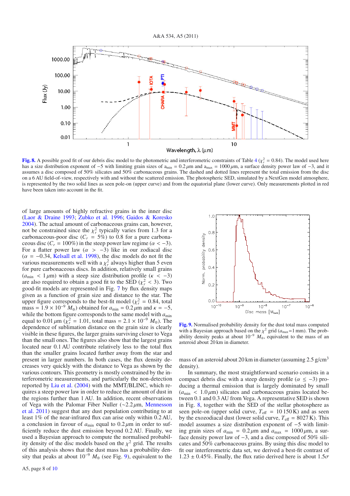

**[Fig. 8.](http://dexter.edpsciences.org/applet.php?DOI=10.1051/0004-6361/201117017&pdf_id=8)** A possible good fit of our debris disc model to the photometric and interferometric constraints of Table  $4(\chi^2_r = 0.84)$ . The model used here has a size distribution exponent of −5 with limiting grain sizes of  $a_{min} = 0.2 \mu m$  and  $a_{max} = 1000 \mu m$ , a surface density power law of −3, and it assumes a disc composed of 50% silicates and 50% carbonaceous grains. The dashed and dotted lines represent the total emission from the disc on a 6 AU field-of-view, respectively with and without the scattered emission. The photospheric SED, simulated by a NextGen model atmosphere, is represented by the two solid lines as seen pole-on (upper curve) and from the equatorial plane (lower curve). Only measurements plotted in red have been taken into account in the fit.

of large amounts of highly refractive grains in the inner disc (Laor & Draine 1993; Zubko et al. 1996; Gaidos & Koresko 2004). The actual amount of carbonaceous grains can, however, not be constrained since the  $\chi^2$  typically varies from 1.3 for a carbonaceous-poor disc  $(C_r = 5\%)$  to 0.8 for a pure carbonaceous disc ( $C_r = 100\%$ ) in the steep power law regime ( $\alpha < -3$ ). For a flatter power law  $(\alpha > -3)$  like in our zodiacal disc  $(\alpha = -0.34,$  Kelsall et al. 1998), the disc models do not fit the various measurements well with a  $\chi^2_r$  always higher than 5 even for pure carbonaceous discs. In addition, relatively small grains  $(a_{\text{min}} < 1 \,\mu\text{m})$  with a steep size distribution profile ( $\kappa < -3$ ) are also required to obtain a good fit to the SED  $(\chi^2_r < 3)$ . Two good-fit models are represented in Fig. 7 by flux density maps given as a function of grain size and distance to the star. The upper figure corresponds to the best-fit model ( $\chi^2_r = 0.84$ , total mass =  $1.9 \times 10^{-9}$   $M_{\oplus}$ ) obtained for  $a_{\text{min}} = 0.2 \mu$ m and  $\kappa = -5$ , while the bottom figure corresponds to the same model with *a*min equal to  $0.01 \mu m$  ( $\chi^2_r = 1.01$ , total mass =  $2.1 \times 10^{-9} M_{\oplus}$ ). The dependence of sublimation distance on the grain size is clearly visible in these figures, the larger grains surviving closer to Vega than the small ones. The figures also show that the largest grains located near 0.1 AU contribute relatively less to the total flux than the smaller grains located further away from the star and present in larger numbers. In both cases, the flux density decreases very quickly with the distance to Vega as shown by the various contours. This geometry is mostly constrained by the interferometric measurements, and particularly the non-detection reported by Liu et al. (2004) with the MMT/BLINC, which requires a steep power law in order to reduce the amount of dust in the regions further than 1 AU. In addition, recent observations of Vega with the Palomar Fiber Nuller (∼2.2 μm, Mennesson et al. 2011) suggest that any dust population contributing to at least 1% of the near-infrared flux can arise only within 0.2 AU, a conclusion in favour of  $a_{\text{min}}$  equal to  $0.2 \mu$ m in order to sufficiently reduce the dust emission beyond 0.2 AU. Finally, we used a Bayesian approach to compute the normalised probability density of the disc models based on the  $\chi^2$  grid. The results of this analysis shows that the dust mass has a probability density that peaks at about  $10^{-9}$   $M_{\oplus}$  (see Fig. 9), equivalent to the



**[Fig. 9.](http://dexter.edpsciences.org/applet.php?DOI=10.1051/0004-6361/201117017&pdf_id=9)** Normalised probability density for the dust total mass computed with a Bayesian approach based on the  $\chi^2$  grid ( $a_{\text{max}}=1$  mm). The probability density peaks at about  $10^{-9}$   $M_{\oplus}$ , equivalent to the mass of an asteroid about 20 km in diameter.

mass of an asteroid about 20 km in diameter (assuming  $2.5$  g/cm<sup>3</sup> density).

In summary, the most straightforward scenario consists in a compact debris disc with a steep density profile ( $\alpha \leq -3$ ) producing a thermal emission that is largely dominated by small  $(a_{\text{min}} < 1.0 \,\mu\text{m})$  silicates and carbonaceous grains located between 0.1 and 0.3 AU from Vega. A representative SED is shown in Fig. 8, together with the SED of the stellar photosphere as seen pole-on (upper solid curve,  $T_{\text{eff}} = 10150 \text{ K}$ ) and as seen by the exozodiacal dust (lower solid curve,  $T_{\text{eff}} = 8027 \text{ K}$ ). This model assumes a size distribution exponent of −5 with limiting grain sizes of  $a_{\text{min}} = 0.2 \mu \text{m}$  and  $a_{\text{max}} = 1000 \mu \text{m}$ , a surface density power law of −3, and a disc composed of 50% silicates and 50% carbonaceous grains. By using this disc model to fit our interferometric data set, we derived a best-fit contrast of  $1.23 \pm 0.45\%$ . Finally, the flux ratio derived here is about  $1.5\sigma$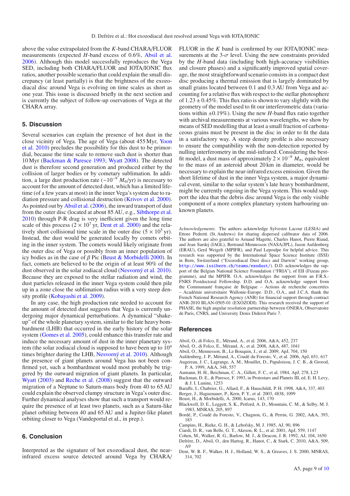above the value extrapolated from the *K*-band CHARA/FLUOR measurements (expected *H*-band excess of 0.6%, Absil et al. 2006). Although this model successfully reproduces the Vega SED, including both CHARA/FLUOR and IOTA/IONIC flux ratios, another possible scenario that could explain the small discrepancy (at least partially) is that the brightness of the exozodiacal disc around Vega is evolving on time scales as short as one year. This issue is discussed briefly in the next section and is currently the subject of follow-up oservations of Vega at the CHARA array.

#### **5. Discussion**

Several scenarios can explain the presence of hot dust in the close vicinity of Vega. The age of Vega (about 455 Myr, Yoon et al. 2010) precludes the possibility for this dust to be primordial, because the time scale to remove such dust is shorter than 10 Myr (Backman & Paresce 1993; Wyatt 2008). The detected dust is therefore second generation and produced either by the collision of larger bodies or by cometary sublimation. In addition, a large dust production rate (∼10−<sup>9</sup> *M*⊕/yr) is necessary to account for the amount of detected dust, which has a limited lifetime (of a few years at most) in the inner Vega's system due to radiation pressure and collisional destruction (Krivov et al. 2000). As pointed out by Absil et al. (2006), the inward transport of dust from the outer disc (located at about 85 AU, e.g., Sibthorpe et al. 2010) through P-R drag is very inefficient given the long time scale of this process  $(2 \times 10^7 \text{ yr}, \text{Dent et al. } 2000)$  and the relatively short collisional time scale in the outer disc  $(5 \times 10^5 \text{ yr})$ . Instead, the dust would be generated locally by comets orbiting in the inner system. The comets would likely originate from the outer disc of Vega or possibly from an inner population of icy bodies as in the case of  $\beta$  Pic (Beust & Morbidelli 2000). In fact, comets are believed to be the origin of at least 90% of the dust observed in the solar zodiacal cloud (Nesvorný et al. 2010). Because they are exposed to the stellar radiation and wind, the dust particles released in the inner Vega system could then pile up in a zone close the sublimation radius with a very steep density profile (Kobayashi et al. 2009).

In any case, the high production rate needed to account for the amount of detected dust suggests that Vega is currently undergoing major dynamical perturbations. A dynamical "shakeup" of the whole planetary system, similar to the late heavy bombardment (LHB) that occurred in the early history of the solar system (Gomes et al. 2005), could enhance this transfer rate and induce the necessary amount of dust in the inner planetary system (the solar zodiacal cloud is supposed to have been up to  $10<sup>4</sup>$ times brighter during the LHB, Nesvorný et al. 2010). Although the presence of giant planets around Vega has not been confirmed yet, such a bombardment would most probably be triggered by the outward migration of giant planets. In particular, Wyatt (2003) and Reche et al. (2008) suggest that the outward migration of a Neptune to Saturn-mass body from 40 to 65 AU could explain the observed clumpy structure in Vega's outer disc. Further dynamical analyses show that such a transport would require the presence of at least two planets, such as a Saturn-like planet orbiting between 40 and 65 AU and a Jupiter-like planet orbiting closer to Vega (Vandeportal et al., in prep.).

## **6. Conclusion**

Interpreted as the signature of hot exozodiacal dust, the nearinfrared excess source detected around Vega by CHARA/ FLUOR in the *K* band is confirmed by our IOTA/IONIC measurements at the  $3-\sigma$  level. Using the new constraints provided by the *H*-band data (including both high-accuracy visibilities and closure phases) and a significantly improved spatial coverage, the most straightforward scenario consists in a compact dust disc producing a thermal emission that is largely dominated by small grains located between 0.1 and 0.3 AU from Vega and accounting for a relative flux with respect to the stellar photosphere of  $1.23 \pm 0.45\%$ . This flux ratio is shown to vary slightly with the geometry of the model used to fit our interferometric data (variations within  $\pm 0.19\%$ ). Using the new *H*-band flux ratio together with archival measurements at various wavelengths, we show by means of SED modelling that at least a small fraction of carbonaceous grains must be present in the disc in order to fit the data in a satisfactory way. A steep density profile is also necessary to ensure the compatibility with the non-detection reported by nulling interferometry in the mid-infrared. Considering the bestfit model, a dust mass of approximately  $2 \times 10^{-9}$   $M_{\oplus}$ , equivalent to the mass of an asteroid about 20 km in diameter, would be necessary to explain the near-infrared excess emission. Given the short lifetime of dust in the inner Vega system, a major dynamical event, similar to the solar system's late heavy bombardment, might be currently ongoing in the Vega system. This would support the idea that the debris disc around Vega is the only visible component of a more complex planetary system harbouring unknown planets.

*Acknowledgements.* The authors acknowledge Sylvestre Lacour (LESIA) and Ettore Pedretti (St. Andrews) for sharing dispersed calibrator data of 2006. The authors are also grateful to Arnaud Magette, Charles Hanot, Pierre Riaud, and Jean Surdej (IAGL), Bertrand Mennesson (NASA/JPL), Jason Aufdenberg (ERAU), Gerd Weigelt (MPIFR), and Paul Lepoulpe for helpful advice. This research was supported by the International Space Science Institute (ISSI) in Bern, Switzerland ("Exozodiacal Dust discs and Darwin" working group, <http://www.issibern.ch/teams/exodust/>). D.D. acknowledges the support of the Belgian National Science Foundation ("FRIA"), of EII (Fizeau programme), and the MPIFR. O.A. acknowledges the support from an F.R.S.- FNRS Postdoctoral Fellowship. D.D. and O.A. acknowledge support from the Communauté française de Belgique – Actions de recherche concertées – Académie universitaire Wallonie-Europe. D.D., O.A., and J.C.A. thank the French National Research Agency (ANR) for financial support through contract ANR-2010 BLAN-0505-01 (EXOZODI). This research received the support of PHASE, the high angular resolution partnership between ONERA, Observatoire de Paris, CNRS, and University Denis Diderot Paris 7.

#### **References**

- Absil, O., di Folco, E., Mérand, A., et al. 2006, A&A, 452, 237
- Absil, O., di Folco, E., Mérand, A., et al. 2008, A&A, 487, 1041
- Absil, O., Mennesson, B., Le Bouquin, J., et al. 2009, ApJ, 704, 150
- Aufdenberg, J. P., Mérand, A., Coudé du Foresto, V., et al. 2006, ApJ, 651, 617
- Augereau, J. C., Lagrange, A. M., Mouillet, D., Papaloizou, J. C. B., & Grorod, P. A. 1999, A&A, 348, 557
- Aumann, H. H., Beichman, C. A., Gillett, F. C., et al. 1984, ApJ, 278, L23
- Backman, D. E., & Paresce, F. 1993, in Protostars and Planets III, ed. E. H. Levy, & J. I. Lunine, 1253
- Baraffe, I., Chabrier, G., Allard, F., & Hauschildt, P. H. 1998, A&A, 337, 403
- Berger, J., Haguenauer, P., Kern, P. Y., et al. 2003, 4838, 1099
- Beust, H., & Morbidelli, A. 2000, Icarus, 143, 170
- Blackwell, D. E., Leggett, S. K., Petford, A. D., Mountain, C. M., & Selby, M. J. 1983, MNRAS, 205, 897
- Bordé, P., Coudé du Foresto, V., Chagnon, G., & Perrin, G. 2002, A&A, 393, 183
- Campins, H., Rieke, G. H., & Lebofsky, M. J. 1985, AJ, 90, 896
- Ciardi, D. R., van Belle, G. T., Akeson, R. L., et al. 2001, ApJ, 559, 1147
- Cohen, M., Walker, R. G., Barlow, M. J., & Deacon, J. R. 1992, AJ, 104, 1650
- Defrère, D., Absil, O., den Hartog, R., Hanot, C., & Stark, C. 2010, A&A, 509, A9
- Dent, W. R. F., Walker, H. J., Holland, W. S., & Greaves, J. S. 2000, MNRAS, 314, 702